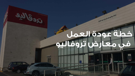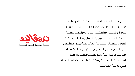فـــي إطـــار اســـتعداداتنا إلعـــادة افتــتاح معارضنا الســـتقبال الـــزوار وعـــودة العامليـــن بهـــا، فإننـــا نـــود أن نلفـــت انتباهكـــم بـــأنه تم اعداد خطـــة خاصة بالعـــودة التدريجية للعمل وفقـــا لتوجيهات العودة للحيـــاة الطبيعية المقترحـــة مـــن مجلـــس الـــوزراء في جميع المعارض مـــع مراعـــاة كافـــة التدابيـــر االحترازيـــة والتوصيـــات الصـــادرة عـــن الســـلطات الصحيـــة ومختلـــف الجهـــات المختصـــة فـــي دولـــة الكويـــت

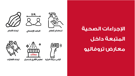

2 M.



استخدام العقم التباعد الإجتماعي

ارتداء القفازات

## الإجراءات الصحية المتبعة داخل معارض تروفاليو

ارتداء الكمام

O **@**ll) تروقاليو قياس درجة احرارة متعقيم الأفرع باستمرار

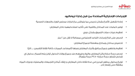## الإجراءات الإحترازية المتخذة من قبل إدارة تروفاليو:

تعقيم وتطهير جميع مرافق وأجزاء المعارض ومنها (المصاعد، الممرات، كافة نقاط التلامس، .... الخ)

- إعادة تشغيل الأفرع بشكل تدريجي بما يتماشى م $\mathcal S$  قرارات مجلس الوزراء والجهات الصحية
	- توفير كمامات عند المداخل والتنبيه على تأكيد استخدامهما داخل المعارض
		- تعقيم عربات، سالت التسوق بشكل دوري
		- الحرص على اتباع إجراءات التباعد االجتماعي بمسافة ال تقل عن 2 متر
			- تخصيص مداخل ومخارج منفصلة لجميع المعارض
				-
				- شخص تتجاوز درجة حرارته 37.5 درجة مئوية(.
				- مغلقة حتى إشعار آخر .

• فحص درجة حرارة زبائن المعارض، والزوار وغيرهم عند جميع بوابات الدخول )ولن يتم السماح بدخول اي

• توزيع محلول مطهر لليدين في عدة نقاط داخل المعارض، و إبقاء أماكن التجمعات والمصليات ودورات المياه

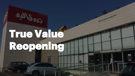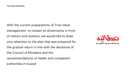With the current preparations of True Value management to reopen its showrooms in front of visitors and workers, we would like to draw your attention to the plan that was prepared for the gradual return in line with the decisions of the Council of Ministers and the recommendations of health and competent authorities in Kuwait

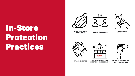## In-Store Protection Practices









SOCIAL DISTANCING USE SANITIZER

О

WEARING GLOVES

WEAR YOUR MASK AT ALL TIMES

SHOWROOM REGULAR SANITIZING AND CLEANING



YOUR TEMPERATURE